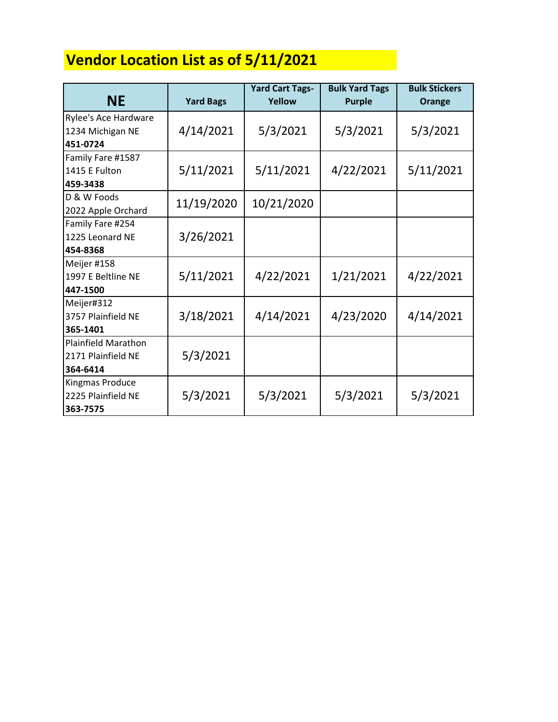## **Vendor Location List as of 5/11/2021**

|                            |                  | <b>Yard Cart Tags-</b> | <b>Bulk Yard Tags</b> | <b>Bulk Stickers</b> |
|----------------------------|------------------|------------------------|-----------------------|----------------------|
| <b>NE</b>                  | <b>Yard Bags</b> | Yellow                 | <b>Purple</b>         | Orange               |
| Rylee's Ace Hardware       |                  |                        |                       |                      |
| 1234 Michigan NE           | 4/14/2021        | 5/3/2021               | 5/3/2021              | 5/3/2021             |
| 451-0724                   |                  |                        |                       |                      |
| Family Fare #1587          |                  |                        |                       |                      |
| 1415 E Fulton              | 5/11/2021        | 5/11/2021              | 4/22/2021             | 5/11/2021            |
| 459-3438                   |                  |                        |                       |                      |
| D & W Foods                | 11/19/2020       | 10/21/2020             |                       |                      |
| 2022 Apple Orchard         |                  |                        |                       |                      |
| Family Fare #254           |                  |                        |                       |                      |
| 1225 Leonard NE            | 3/26/2021        |                        |                       |                      |
| 454-8368                   |                  |                        |                       |                      |
| Meijer #158                |                  |                        |                       |                      |
| 1997 E Beltline NE         | 5/11/2021        | 4/22/2021              | 1/21/2021             | 4/22/2021            |
| 447-1500                   |                  |                        |                       |                      |
| Meijer#312                 |                  |                        |                       |                      |
| 3757 Plainfield NE         | 3/18/2021        | 4/14/2021              | 4/23/2020             | 4/14/2021            |
| 365-1401                   |                  |                        |                       |                      |
| <b>Plainfield Marathon</b> |                  |                        |                       |                      |
| 2171 Plainfield NE         | 5/3/2021         |                        |                       |                      |
| 364-6414                   |                  |                        |                       |                      |
| Kingmas Produce            |                  |                        |                       |                      |
| 2225 Plainfield NE         | 5/3/2021         | 5/3/2021               | 5/3/2021              | 5/3/2021             |
| 363-7575                   |                  |                        |                       |                      |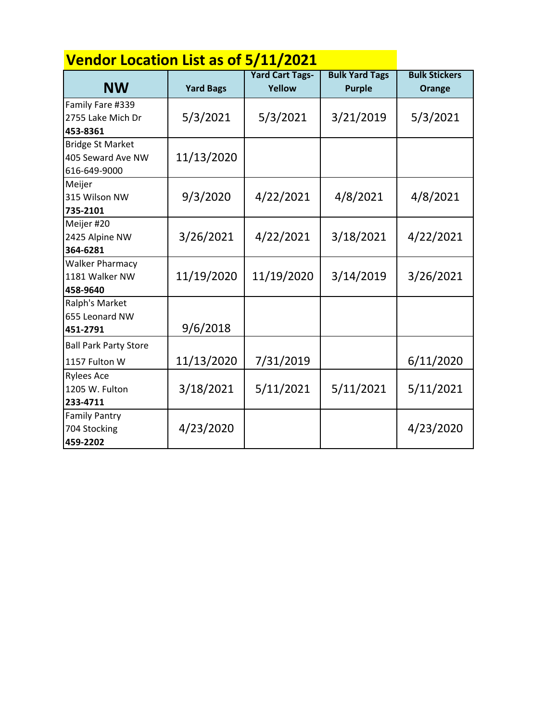| <b>Vendor Location List as of 5/11/2021</b>                  |                  |                                  |                                        |                                |
|--------------------------------------------------------------|------------------|----------------------------------|----------------------------------------|--------------------------------|
| <b>NW</b>                                                    | <b>Yard Bags</b> | <b>Yard Cart Tags-</b><br>Yellow | <b>Bulk Yard Tags</b><br><b>Purple</b> | <b>Bulk Stickers</b><br>Orange |
| Family Fare #339<br>2755 Lake Mich Dr<br>453-8361            | 5/3/2021         | 5/3/2021                         | 3/21/2019                              | 5/3/2021                       |
| <b>Bridge St Market</b><br>405 Seward Ave NW<br>616-649-9000 | 11/13/2020       |                                  |                                        |                                |
| Meijer<br>315 Wilson NW<br>735-2101                          | 9/3/2020         | 4/22/2021                        | 4/8/2021                               | 4/8/2021                       |
| Meijer #20<br>2425 Alpine NW<br>364-6281                     | 3/26/2021        | 4/22/2021                        | 3/18/2021                              | 4/22/2021                      |
| <b>Walker Pharmacy</b><br>1181 Walker NW<br>458-9640         | 11/19/2020       | 11/19/2020                       | 3/14/2019                              | 3/26/2021                      |
| Ralph's Market<br>655 Leonard NW<br>451-2791                 | 9/6/2018         |                                  |                                        |                                |
| <b>Ball Park Party Store</b><br>1157 Fulton W                | 11/13/2020       | 7/31/2019                        |                                        | 6/11/2020                      |
| <b>Rylees Ace</b><br>1205 W. Fulton<br>233-4711              | 3/18/2021        | 5/11/2021                        | 5/11/2021                              | 5/11/2021                      |
| <b>Family Pantry</b><br>704 Stocking<br>459-2202             | 4/23/2020        |                                  |                                        | 4/23/2020                      |